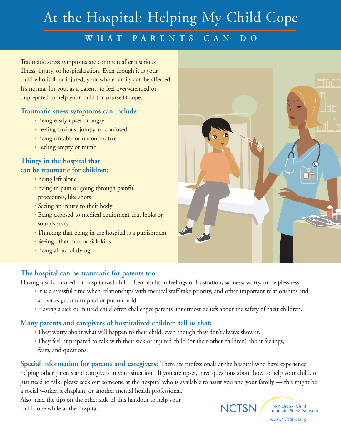# At the Hospital: Helping My Child Cope

## **WHAT PARENTS CAN DO**

Traumatic stress symptoms are common after a serious illness, injury, or hospitalization. Even though it is your child who is ill or injured, your whole family can be affected. It's normal for you, as a parent, to feel overwhelmed or unprepared to help your child (or yourself) cope.

#### **Traumatic stress symptoms can include:**

- Being easily upset or angry
- Feeling anxious, jumpy, or confused
- Being irritable or uncooperative
- Feeling empty or numb

#### **Things in the hospital that can be traumatic for children:**

- Being left alone
- Being in pain or going through painful procedures, like shots
- Seeing an injury to their body
- Being exposed to medical equipment that looks or sounds scary
- Thinking that being in the hospital is a punishment
- Seeing other hurt or sick kids
- Being afraid of dying

#### **The hospital can be traumatic for parents too:**

Having a sick, injured, or hospitalized child often results in feelings of frustration, sadness, worry, or helplessness.

- It is a stressful time when relationships with medical staff take priority, and other important relationships and activities get interrupted or put on hold.
- Having a sick or injured child often challenges parents' innermost beliefs about the safety of their children.

### **Many parents and caregivers of hospitalized children tell us that:**

- They worry about what will happen to their child, even though they don't always show it.
- They feel unprepared to talk with their sick or injured child (or their other children) about feelings, fears, and questions.

**Special information for parents and caregivers:** There are professionals at the hospital who have experience helping other parents and caregivers in your situation. If you are upset, have questions about how to help your child, or just need to talk, please seek out someone at the hospital who is available to assist you and your family — this might be a social worker, a chaplain, or another mental health professional.

Also, read the tips on the other side of this handout to help your child cope while at the hospital.





www.NCTSNet.org